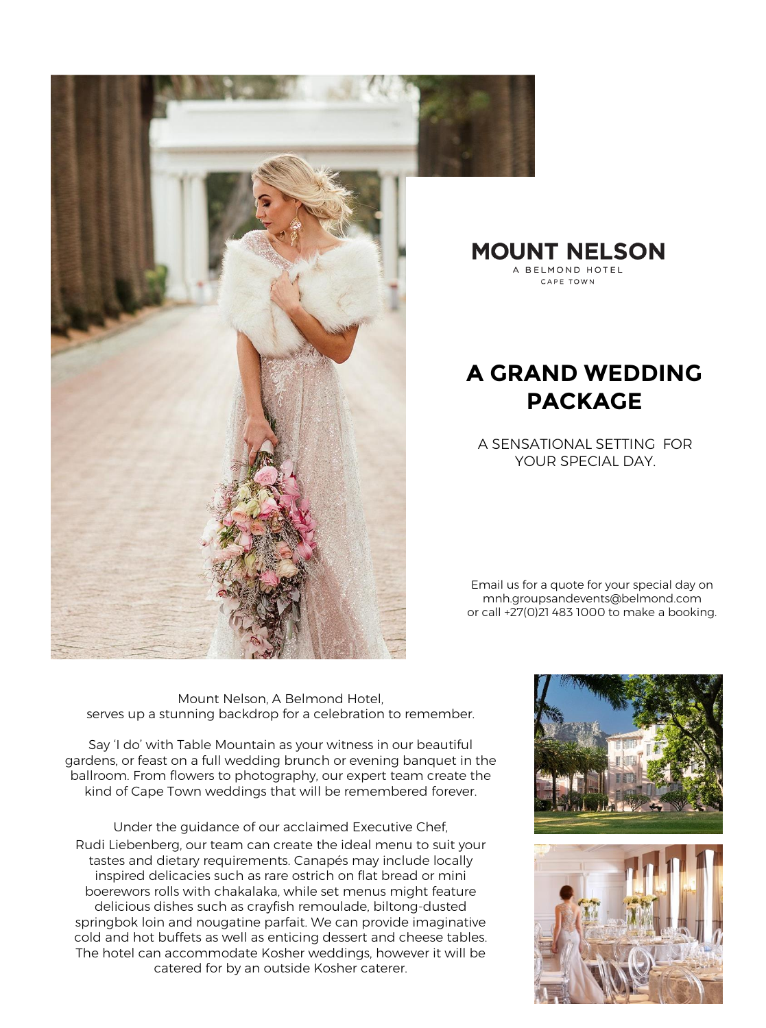

**MOUNT NELSON** A BELMOND HOTEL CAPE TOWN

## **A GRAND WEDDING PACKAGE**

A SENSATIONAL SETTING FOR YOUR SPECIAL DAY.

Email us for a quote for your special day on mnh.groupsandevents@belmond.com or call +27(0)21 483 1000 to make a booking.

Mount Nelson, A Belmond Hotel, serves up a stunning backdrop for a celebration to remember.

Say 'I do' with Table Mountain as your witness in our beautiful gardens, or feast on a full wedding brunch or evening banquet in the ballroom. From flowers to photography, our expert team create the kind of Cape Town weddings that will be remembered forever.

Under the guidance of our acclaimed Executive Chef, Rudi Liebenberg, our team can create the ideal menu to suit your tastes and dietary requirements. Canapés may include locally inspired delicacies such as rare ostrich on flat bread or mini boerewors rolls with chakalaka, while set menus might feature delicious dishes such as crayfish remoulade, biltong-dusted springbok loin and nougatine parfait. We can provide imaginative cold and hot buffets as well as enticing dessert and cheese tables. The hotel can accommodate Kosher weddings, however it will be catered for by an outside Kosher caterer.